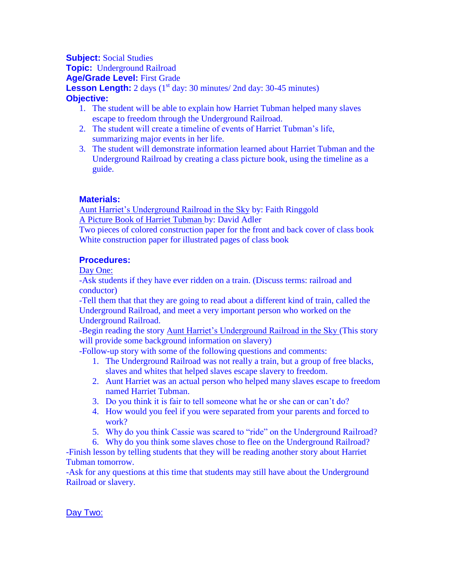**Subject:** Social Studies **Topic:** Underground Railroad **Age/Grade Level:** First Grade **Lesson Length:**  $2 \text{ days}$  ( $1^{\text{st}}$  day:  $30 \text{ minutes}$  /  $2 \text{ nd day: } 30\text{-}45 \text{ minutes}$ ) **Objective:**

- 1. The student will be able to explain how Harriet Tubman helped many slaves escape to freedom through the Underground Railroad.
- 2. The student will create a timeline of events of Harriet Tubman's life, summarizing major events in her life.
- 3. The student will demonstrate information learned about Harriet Tubman and the Underground Railroad by creating a class picture book, using the timeline as a guide.

# **Materials:**

Aunt Harriet's Underground Railroad in the Sky by: Faith Ringgold A Picture Book of Harriet Tubman by: David Adler Two pieces of colored construction paper for the front and back cover of class book White construction paper for illustrated pages of class book

## **Procedures:**

Day One:

-Ask students if they have ever ridden on a train. (Discuss terms: railroad and conductor)

-Tell them that that they are going to read about a different kind of train, called the Underground Railroad, and meet a very important person who worked on the Underground Railroad.

-Begin reading the story Aunt Harriet's Underground Railroad in the Sky (This story will provide some background information on slavery)

-Follow-up story with some of the following questions and comments:

- 1. The Underground Railroad was not really a train, but a group of free blacks, slaves and whites that helped slaves escape slavery to freedom.
- 2. Aunt Harriet was an actual person who helped many slaves escape to freedom named Harriet Tubman.
- 3. Do you think it is fair to tell someone what he or she can or can't do?
- 4. How would you feel if you were separated from your parents and forced to work?
- 5. Why do you think Cassie was scared to "ride" on the Underground Railroad?
- 6. Why do you think some slaves chose to flee on the Underground Railroad?

-Finish lesson by telling students that they will be reading another story about Harriet Tubman tomorrow.

-Ask for any questions at this time that students may still have about the Underground Railroad or slavery.

## Day Two: